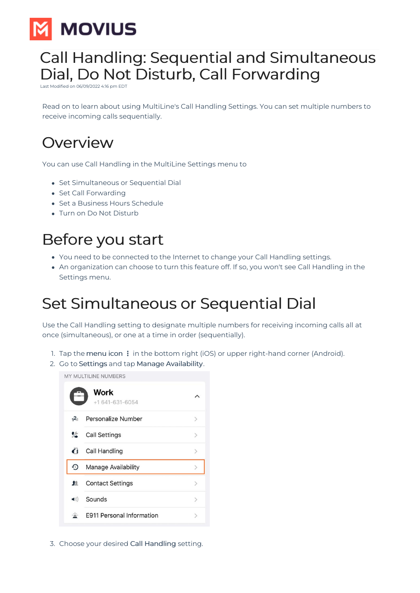

## Call Handling: Sequential and Simultaneous Dial, Do Not Disturb, Call Forwarding

Modified on 06/09/2022 4:16

Read on to learn about using MultiLine's Call Handling Settings. You can set multiple numbers to receive incoming calls sequentially.

## **Overview**

You can use Call Handling in the MultiLine Settings menu to

- Set Simultaneous or Sequential Dial
- Set Call Forwarding
- Set a Business Hours Schedule
- Turn on Do Not Disturb

# Before you start

- You need to be connected to the Internet to change your Call Handling settings.
- An organization can choose to turn this feature off. If so, you won't see Call Handling in the Settings menu.

# Set Simultaneous or Sequential Dial

Use the Call Handling setting to designate multiple numbers for receiving incoming calls all at once (simultaneous), or one at a time in order (sequentially).

- 1. Tap the menu icon: in the bottom right (iOS) or upper right-hand corner (Android).
- 2. Go to Settings and tap Manage Availability.

MY MULTILINE NUMBERS



3. Choose your desired Call Handling setting.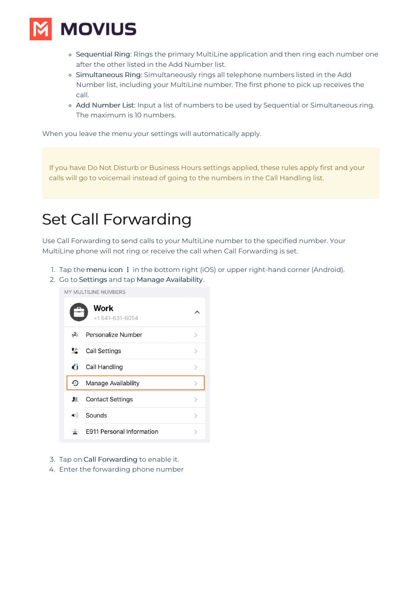

- o Sequential Ring: Rings the primary MultiLine application and then ring each number one after the other listed in the Add Number list.
- Simultaneous Ring: Simultaneously rings all telephone numbers listed in the Add Number list, including your MultiLine number. The first phone to pick up receives the call.
- o Add Number List: Input a list of numbers to be used by Sequential or Simultaneous ring. The maximum is 10 numbers.

When you leave the menu your settings will automatically apply.

If you have Do Not Disturb or Business Hours settings applied, these rules apply first and your calls will go to voicemail instead of going to the numbers in the Call Handling list.

#### Set Call Forwarding

Use Call Forwarding to send calls to your MultiLine number to the specified number. Your MultiLine phone will not ring or receive the call when Call Forwarding is set.

- 1. Tap the menu icon: in the bottom right (iOS) or upper right-hand corner (Android).
- 2. Go to Settings and tap Manage Availability.

MY MULTILINE NUMBERS



- 3. Tap on Call Forwarding to enable it.
- 4. Enter the forwarding phone number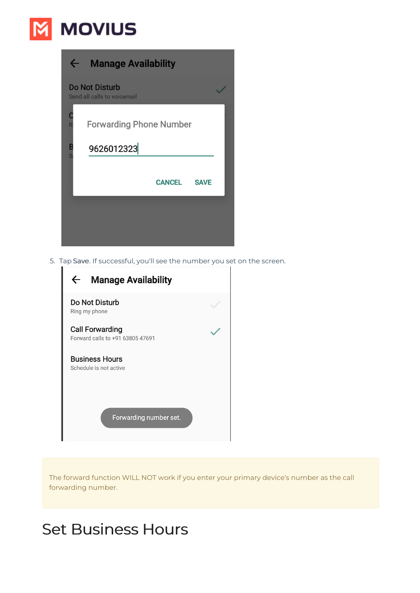# **M** MOVIUS

| $\leftarrow$ | <b>Manage Availability</b>                           |  |
|--------------|------------------------------------------------------|--|
|              | <b>Do Not Disturb</b><br>Send all calls to voicemail |  |
|              | <b>Forwarding Phone Number</b>                       |  |
| B            | 9626012323                                           |  |
|              | <b>CANCEL</b><br><b>SAVE</b>                         |  |
|              |                                                      |  |
|              |                                                      |  |

5. Tap Save. If successful, you'll see the number you set on the screen.

| <b>Manage Availability</b>                                 |  |  |  |
|------------------------------------------------------------|--|--|--|
| Do Not Disturb<br>Ring my phone                            |  |  |  |
| <b>Call Forwarding</b><br>Forward calls to +91 63805 47691 |  |  |  |
| <b>Business Hours</b><br>Schedule is not active            |  |  |  |
| Forwarding number set.                                     |  |  |  |

The forward function WILL NOT work if you enter your primary device's number as the call forwarding number.

# Set Business Hours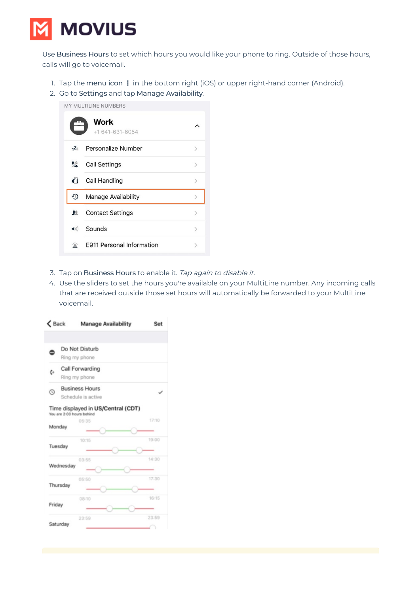

Use Business Hours to set which hours you would like your phone to ring. Outside of those hours, calls will go to voicemail.

- 1. Tap the menu icon: in the bottom right (iOS) or upper right-hand corner (Android).
- 2. Go to Settings and tap Manage Availability.

MY MULTILINE NUMBERS **Work**  $\lambda$  $+1641 - 631 - 6054$ Personalize Number  $1^{2}3$  $\mathcal{P}$ % **Call Settings**  $\overline{\phantom{1}}$  $\mathbf G$ **Call Handling**  $\overline{ }$  $\Omega$ Manage Availability  $\mathbf{r}$ **Contact Settings** 里  $\mathcal{L}$ Sounds  $\blacktriangleleft$  $\mathcal{P}$ **E911 Personal Information** 举  $\overline{ }$ 

- 3. Tap on Business Hours to enable it. Tap again to disable it.
- 4. Use the sliders to set the hours you're available on your MultiLine number. Any incoming calls that are received outside those set hours will automatically be forwarded to your MultiLine voicemail.

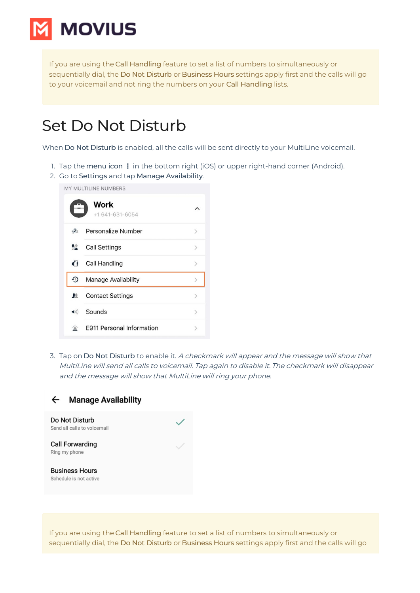

If you are using the Call Handling feature to set a list of numbers to simultaneously or sequentially dial, the Do Not Disturb or Business Hours settings apply first and the calls will go to your voicemail and not ring the numbers on your Call Handling lists.

#### Set Do Not Disturb

When Do Not Disturb is enabled, all the calls will be sent directly to your MultiLine voicemail.

- 1. Tap the menu icon **⋮** in the bottom right (iOS) or upper right-hand corner (Android).
- 2. Go to Settings and tap Manage Availability.

MY MULTILINE NUMBERS



3. Tap on Do Not Disturb to enable it. A checkmark will appear and the message will show that MultiLine will send all calls to voicemail. Tap again to disable it. The checkmark will disappear and the message will show that MultiLine will ring your phone.



If you are using the Call Handling feature to set a list of numbers to simultaneously or sequentially dial, the Do Not Disturb or Business Hours settings apply first and the calls will go